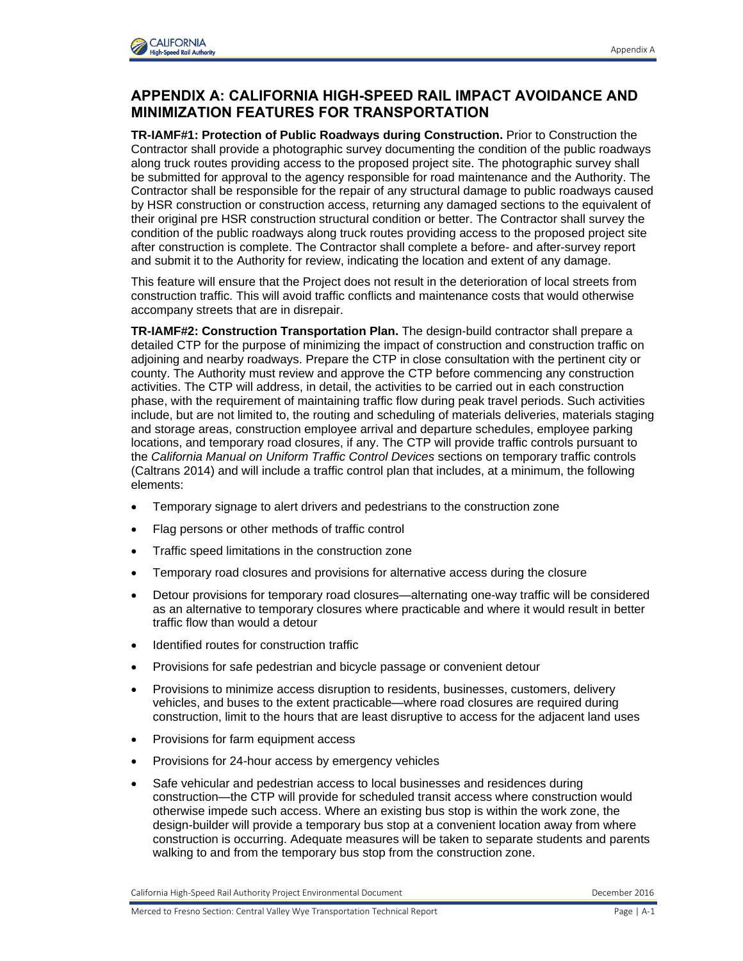

## **APPENDIX A: CALIFORNIA HIGH-SPEED RAIL IMPACT AVOIDANCE AND MINIMIZATION FEATURES FOR TRANSPORTATION**

**TR-IAMF#1: Protection of Public Roadways during Construction.** Prior to Construction the Contractor shall provide a photographic survey documenting the condition of the public roadways along truck routes providing access to the proposed project site. The photographic survey shall be submitted for approval to the agency responsible for road maintenance and the Authority. The Contractor shall be responsible for the repair of any structural damage to public roadways caused by HSR construction or construction access, returning any damaged sections to the equivalent of their original pre HSR construction structural condition or better. The Contractor shall survey the condition of the public roadways along truck routes providing access to the proposed project site after construction is complete. The Contractor shall complete a before- and after-survey report and submit it to the Authority for review, indicating the location and extent of any damage.

This feature will ensure that the Project does not result in the deterioration of local streets from construction traffic. This will avoid traffic conflicts and maintenance costs that would otherwise accompany streets that are in disrepair.

detailed CTP for the purpose of minimizing the impact of construction and construction traffic on **TR-IAMF#2: Construction Transportation Plan.** The design-build contractor shall prepare a adjoining and nearby roadways. Prepare the CTP in close consultation with the pertinent city or county. The Authority must review and approve the CTP before commencing any construction activities. The CTP will address, in detail, the activities to be carried out in each construction phase, with the requirement of maintaining traffic flow during peak travel periods. Such activities include, but are not limited to, the routing and scheduling of materials deliveries, materials staging and storage areas, construction employee arrival and departure schedules, employee parking locations, and temporary road closures, if any. The CTP will provide traffic controls pursuant to the *California Manual on Uniform Traffic Control Devices* sections on temporary traffic controls (Caltrans 2014) and will include a traffic control plan that includes, at a minimum, the following elements:

- Temporary signage to alert drivers and pedestrians to the construction zone
- Flag persons or other methods of traffic control
- Traffic speed limitations in the construction zone
- Temporary road closures and provisions for alternative access during the closure
- Detour provisions for temporary road closures—alternating one-way traffic will be considered as an alternative to temporary closures where practicable and where it would result in better traffic flow than would a detour
- Identified routes for construction traffic
- Provisions for safe pedestrian and bicycle passage or convenient detour
- Provisions to minimize access disruption to residents, businesses, customers, delivery vehicles, and buses to the extent practicable—where road closures are required during construction, limit to the hours that are least disruptive to access for the adjacent land uses
- Provisions for farm equipment access
- Provisions for 24-hour access by emergency vehicles
- Safe vehicular and pedestrian access to local businesses and residences during construction—the CTP will provide for scheduled transit access where construction would otherwise impede such access. Where an existing bus stop is within the work zone, the design-builder will provide a temporary bus stop at a convenient location away from where construction is occurring. Adequate measures will be taken to separate students and parents walking to and from the temporary bus stop from the construction zone.

California High-Speed Rail Authority Project Environmental Document Comment December 2016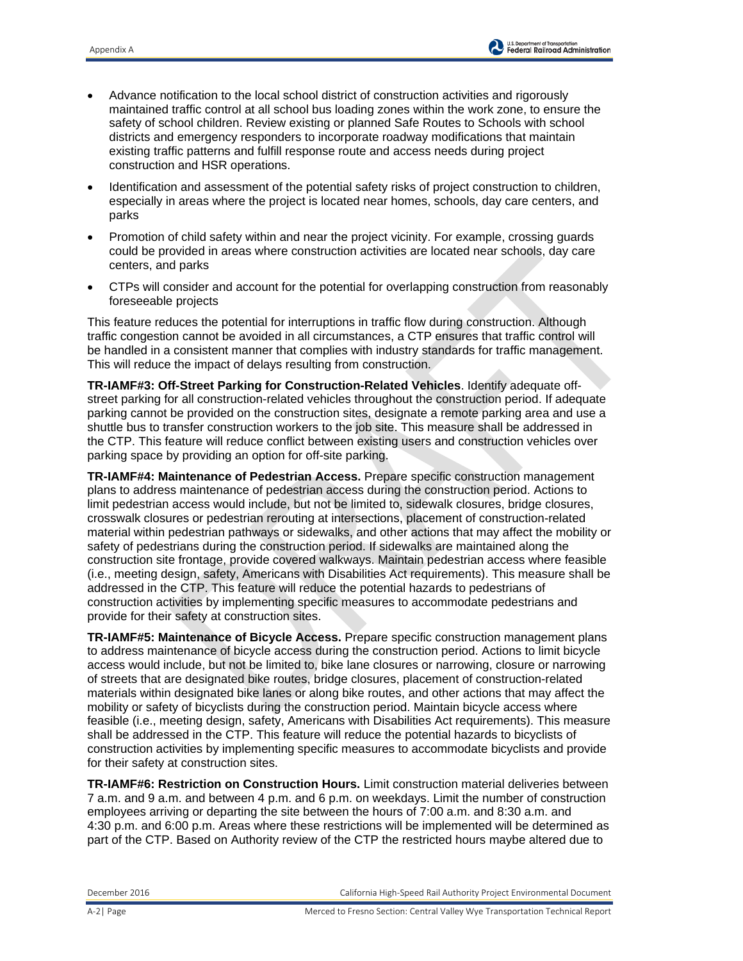- Advance notification to the local school district of construction activities and rigorously maintained traffic control at all school bus loading zones within the work zone, to ensure the safety of school children. Review existing or planned Safe Routes to Schools with school districts and emergency responders to incorporate roadway modifications that maintain existing traffic patterns and fulfill response route and access needs during project construction and HSR operations.
- Identification and assessment of the potential safety risks of project construction to children, especially in areas where the project is located near homes, schools, day care centers, and parks
- Promotion of child safety within and near the project vicinity. For example, crossing guards could be provided in areas where construction activities are located near schools, day care centers, and parks
- CTPs will consider and account for the potential for overlapping construction from reasonably foreseeable projects

This feature reduces the potential for interruptions in traffic flow during construction. Although traffic congestion cannot be avoided in all circumstances, a CTP ensures that traffic control will be handled in a consistent manner that complies with industry standards for traffic management. This will reduce the impact of delays resulting from construction.

**TR-IAMF#3: Off-Street Parking for Construction-Related Vehicles**. Identify adequate offstreet parking for all construction-related vehicles throughout the construction period. If adequate parking cannot be provided on the construction sites, designate a remote parking area and use a shuttle bus to transfer construction workers to the job site. This measure shall be addressed in the CTP. This feature will reduce conflict between existing users and construction vehicles over parking space by providing an option for off-site parking.

**TR-IAMF#4: Maintenance of Pedestrian Access.** Prepare specific construction management plans to address maintenance of pedestrian access during the construction period. Actions to limit pedestrian access would include, but not be limited to, sidewalk closures, bridge closures, crosswalk closures or pedestrian rerouting at intersections, placement of construction-related material within pedestrian pathways or sidewalks, and other actions that may affect the mobility or safety of pedestrians during the construction period. If sidewalks are maintained along the construction site frontage, provide covered walkways. Maintain pedestrian access where feasible (i.e., meeting design, safety, Americans with Disabilities Act requirements). This measure shall be addressed in the CTP. This feature will reduce the potential hazards to pedestrians of construction activities by implementing specific measures to accommodate pedestrians and provide for their safety at construction sites.

**TR-IAMF#5: Maintenance of Bicycle Access.** Prepare specific construction management plans to address maintenance of bicycle access during the construction period. Actions to limit bicycle access would include, but not be limited to, bike lane closures or narrowing, closure or narrowing of streets that are designated bike routes, bridge closures, placement of construction-related materials within designated bike lanes or along bike routes, and other actions that may affect the mobility or safety of bicyclists during the construction period. Maintain bicycle access where feasible (i.e., meeting design, safety, Americans with Disabilities Act requirements). This measure shall be addressed in the CTP. This feature will reduce the potential hazards to bicyclists of construction activities by implementing specific measures to accommodate bicyclists and provide for their safety at construction sites.

**TR-IAMF#6: Restriction on Construction Hours.** Limit construction material deliveries between 7 a.m. and 9 a.m. and between 4 p.m. and 6 p.m. on weekdays. Limit the number of construction employees arriving or departing the site between the hours of 7:00 a.m. and 8:30 a.m. and 4:30 p.m. and 6:00 p.m. Areas where these restrictions will be implemented will be determined as part of the CTP. Based on Authority review of the CTP the restricted hours maybe altered due to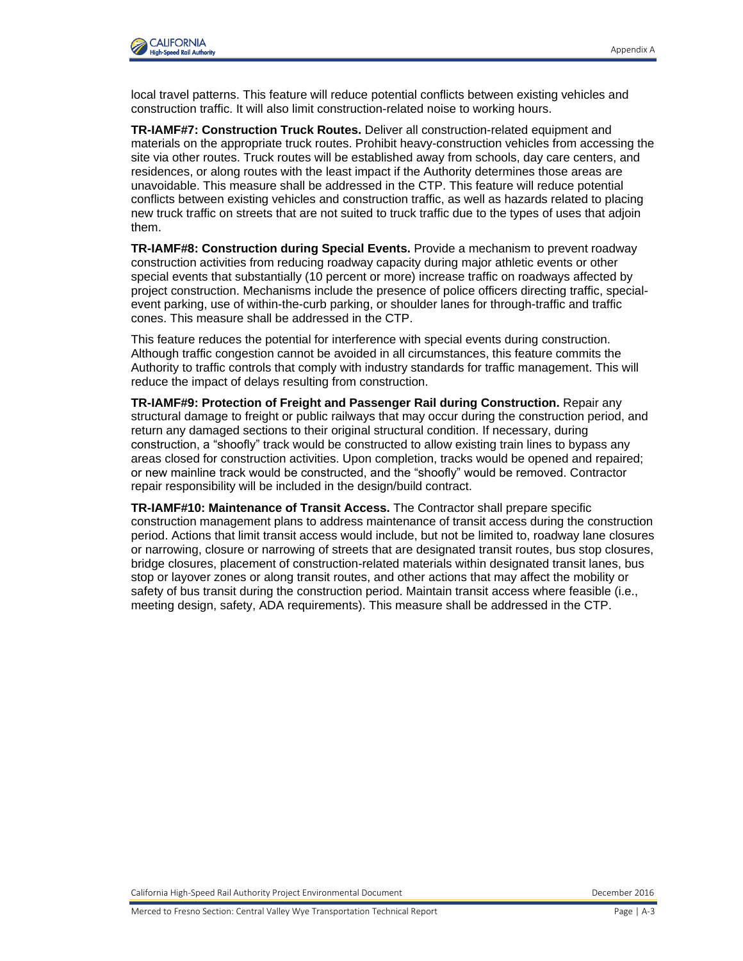local travel patterns. This feature will reduce potential conflicts between existing vehicles and construction traffic. It will also limit construction-related noise to working hours.

**TR-IAMF#7: Construction Truck Routes.** Deliver all construction-related equipment and materials on the appropriate truck routes. Prohibit heavy-construction vehicles from accessing the site via other routes. Truck routes will be established away from schools, day care centers, and residences, or along routes with the least impact if the Authority determines those areas are unavoidable. This measure shall be addressed in the CTP. This feature will reduce potential conflicts between existing vehicles and construction traffic, as well as hazards related to placing new truck traffic on streets that are not suited to truck traffic due to the types of uses that adjoin them.

**TR-IAMF#8: Construction during Special Events.** Provide a mechanism to prevent roadway construction activities from reducing roadway capacity during major athletic events or other special events that substantially (10 percent or more) increase traffic on roadways affected by project construction. Mechanisms include the presence of police officers directing traffic, specialevent parking, use of within-the-curb parking, or shoulder lanes for through-traffic and traffic cones. This measure shall be addressed in the CTP.

This feature reduces the potential for interference with special events during construction. Although traffic congestion cannot be avoided in all circumstances, this feature commits the Authority to traffic controls that comply with industry standards for traffic management. This will reduce the impact of delays resulting from construction.

**TR-IAMF#9: Protection of Freight and Passenger Rail during Construction.** Repair any structural damage to freight or public railways that may occur during the construction period, and return any damaged sections to their original structural condition. If necessary, during construction, a "shoofly" track would be constructed to allow existing train lines to bypass any areas closed for construction activities. Upon completion, tracks would be opened and repaired; or new mainline track would be constructed, and the "shoofly" would be removed. Contractor repair responsibility will be included in the design/build contract.

**TR-IAMF#10: Maintenance of Transit Access.** The Contractor shall prepare specific construction management plans to address maintenance of transit access during the construction period. Actions that limit transit access would include, but not be limited to, roadway lane closures or narrowing, closure or narrowing of streets that are designated transit routes, bus stop closures, bridge closures, placement of construction-related materials within designated transit lanes, bus stop or layover zones or along transit routes, and other actions that may affect the mobility or safety of bus transit during the construction period. Maintain transit access where feasible (i.e., meeting design, safety, ADA requirements). This measure shall be addressed in the CTP.